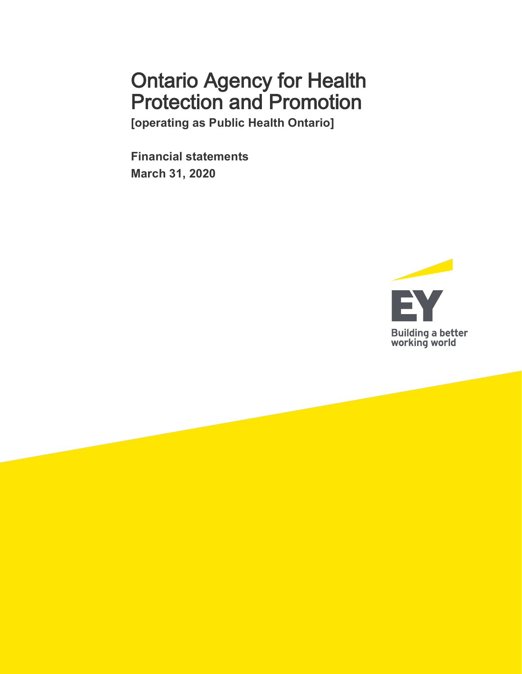**[operating as Public Health Ontario]**

**Financial statements March 31, 2020**

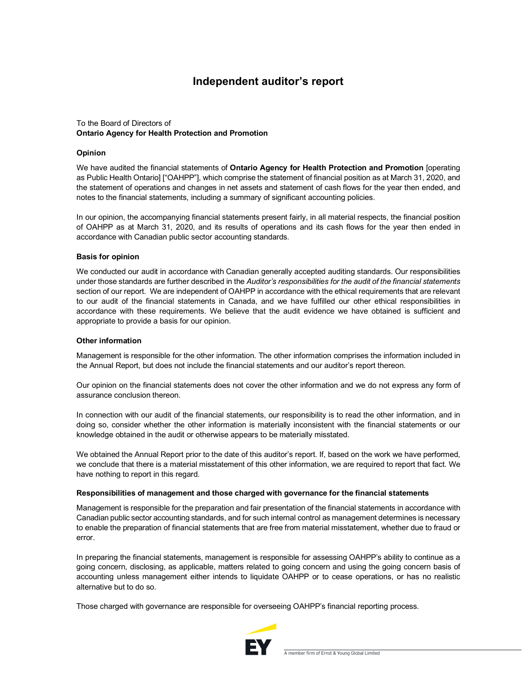# **Independent auditor's report**

#### To the Board of Directors of **Ontario Agency for Health Protection and Promotion**

#### **Opinion**

We have audited the financial statements of **Ontario Agency for Health Protection and Promotion** [operating as Public Health Ontario] ["OAHPP"], which comprise the statement of financial position as at March 31, 2020, and the statement of operations and changes in net assets and statement of cash flows for the year then ended, and notes to the financial statements, including a summary of significant accounting policies.

In our opinion, the accompanying financial statements present fairly, in all material respects, the financial position of OAHPP as at March 31, 2020, and its results of operations and its cash flows for the year then ended in accordance with Canadian public sector accounting standards.

#### **Basis for opinion**

We conducted our audit in accordance with Canadian generally accepted auditing standards. Our responsibilities under those standards are further described in the *Auditor's responsibilities for the audit of the financial statements*  section of our report. We are independent of OAHPP in accordance with the ethical requirements that are relevant to our audit of the financial statements in Canada, and we have fulfilled our other ethical responsibilities in accordance with these requirements. We believe that the audit evidence we have obtained is sufficient and appropriate to provide a basis for our opinion.

#### **Other information**

Management is responsible for the other information. The other information comprises the information included in the Annual Report, but does not include the financial statements and our auditor's report thereon.

Our opinion on the financial statements does not cover the other information and we do not express any form of assurance conclusion thereon.

In connection with our audit of the financial statements, our responsibility is to read the other information, and in doing so, consider whether the other information is materially inconsistent with the financial statements or our knowledge obtained in the audit or otherwise appears to be materially misstated.

We obtained the Annual Report prior to the date of this auditor's report. If, based on the work we have performed, we conclude that there is a material misstatement of this other information, we are required to report that fact. We have nothing to report in this regard.

#### **Responsibilities of management and those charged with governance for the financial statements**

Management is responsible for the preparation and fair presentation of the financial statements in accordance with Canadian public sector accounting standards, and for such internal control as management determines is necessary to enable the preparation of financial statements that are free from material misstatement, whether due to fraud or error.

In preparing the financial statements, management is responsible for assessing OAHPP's ability to continue as a going concern, disclosing, as applicable, matters related to going concern and using the going concern basis of accounting unless management either intends to liquidate OAHPP or to cease operations, or has no realistic alternative but to do so.

Those charged with governance are responsible for overseeing OAHPP's financial reporting process.

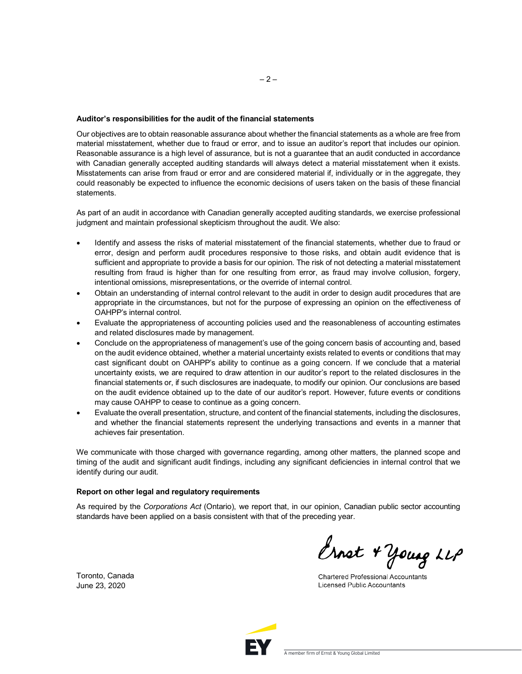#### **Auditor's responsibilities for the audit of the financial statements**

Our objectives are to obtain reasonable assurance about whether the financial statements as a whole are free from material misstatement, whether due to fraud or error, and to issue an auditor's report that includes our opinion. Reasonable assurance is a high level of assurance, but is not a guarantee that an audit conducted in accordance with Canadian generally accepted auditing standards will always detect a material misstatement when it exists. Misstatements can arise from fraud or error and are considered material if, individually or in the aggregate, they could reasonably be expected to influence the economic decisions of users taken on the basis of these financial statements.

 $-2-$ 

As part of an audit in accordance with Canadian generally accepted auditing standards, we exercise professional judgment and maintain professional skepticism throughout the audit. We also:

- Identify and assess the risks of material misstatement of the financial statements, whether due to fraud or error, design and perform audit procedures responsive to those risks, and obtain audit evidence that is sufficient and appropriate to provide a basis for our opinion. The risk of not detecting a material misstatement resulting from fraud is higher than for one resulting from error, as fraud may involve collusion, forgery, intentional omissions, misrepresentations, or the override of internal control.
- Obtain an understanding of internal control relevant to the audit in order to design audit procedures that are appropriate in the circumstances, but not for the purpose of expressing an opinion on the effectiveness of OAHPP's internal control.
- Evaluate the appropriateness of accounting policies used and the reasonableness of accounting estimates and related disclosures made by management.
- Conclude on the appropriateness of management's use of the going concern basis of accounting and, based on the audit evidence obtained, whether a material uncertainty exists related to events or conditions that may cast significant doubt on OAHPP's ability to continue as a going concern. If we conclude that a material uncertainty exists, we are required to draw attention in our auditor's report to the related disclosures in the financial statements or, if such disclosures are inadequate, to modify our opinion. Our conclusions are based on the audit evidence obtained up to the date of our auditor's report. However, future events or conditions may cause OAHPP to cease to continue as a going concern.
- Evaluate the overall presentation, structure, and content of the financial statements, including the disclosures, and whether the financial statements represent the underlying transactions and events in a manner that achieves fair presentation.

We communicate with those charged with governance regarding, among other matters, the planned scope and timing of the audit and significant audit findings, including any significant deficiencies in internal control that we identify during our audit.

#### **Report on other legal and regulatory requirements**

As required by the *Corporations Act* (Ontario), we report that, in our opinion, Canadian public sector accounting standards have been applied on a basis consistent with that of the preceding year.

Ernet + Young LLP

**Chartered Professional Accountants Licensed Public Accountants** 

Toronto, Canada June 23, 2020

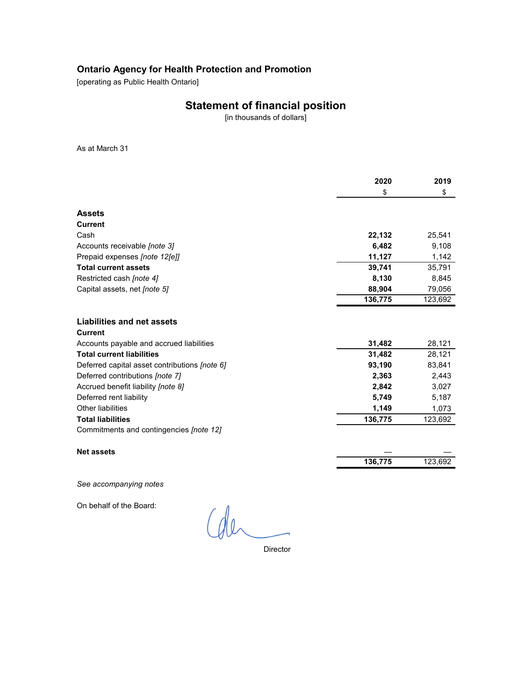[operating as Public Health Ontario]

# **Statement of financial position**

[in thousands of dollars]

As at March 31

|                                               | 2020    | 2019    |
|-----------------------------------------------|---------|---------|
|                                               | \$      | \$      |
| <b>Assets</b>                                 |         |         |
| <b>Current</b>                                |         |         |
| Cash                                          | 22,132  | 25,541  |
| Accounts receivable [note 3]                  | 6,482   | 9,108   |
| Prepaid expenses [note 12[e]]                 | 11,127  | 1,142   |
| <b>Total current assets</b>                   | 39,741  | 35,791  |
| Restricted cash <i>(note 4)</i>               | 8,130   | 8,845   |
| Capital assets, net <i>[note 5]</i>           | 88,904  | 79,056  |
|                                               | 136,775 | 123,692 |
| Liabilities and net assets                    |         |         |
| <b>Current</b>                                |         |         |
| Accounts payable and accrued liabilities      | 31,482  | 28,121  |
| <b>Total current liabilities</b>              | 31,482  | 28,121  |
| Deferred capital asset contributions [note 6] | 93,190  | 83,841  |
| Deferred contributions [note 7]               | 2,363   | 2,443   |
| Accrued benefit liability [note 8]            | 2,842   | 3,027   |
| Deferred rent liability                       | 5,749   | 5,187   |
| <b>Other liabilities</b>                      | 1,149   | 1,073   |
| <b>Total liabilities</b>                      | 136,775 | 123,692 |
| Commitments and contingencies [note 12]       |         |         |

| Net assets |         |         |
|------------|---------|---------|
|            | 136,775 | 123,692 |
|            |         |         |

*See accompanying notes*

On behalf of the Board:

de

Director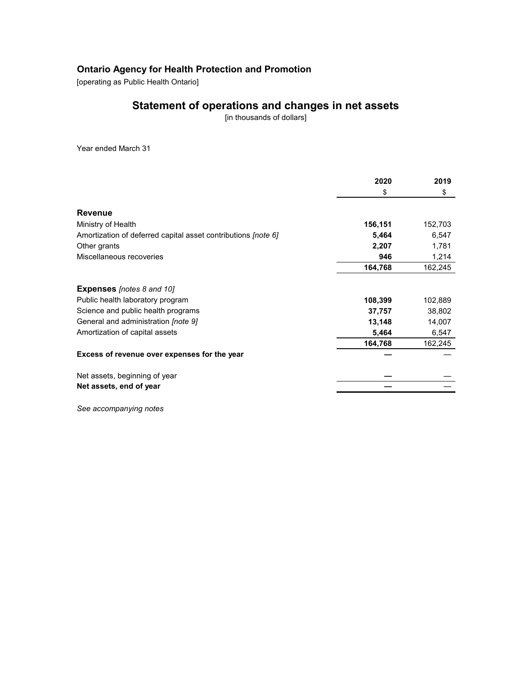[operating as Public Health Ontario]

# **Statement of operations and changes in net assets**

[in thousands of dollars]

Year ended March 31

|                                                                      | 2020    | 2019    |
|----------------------------------------------------------------------|---------|---------|
|                                                                      | \$      | \$      |
| <b>Revenue</b>                                                       |         |         |
| Ministry of Health                                                   | 156,151 | 152,703 |
| Amortization of deferred capital asset contributions <i>[note 6]</i> | 5,464   | 6,547   |
| Other grants                                                         | 2,207   | 1,781   |
| Miscellaneous recoveries                                             | 946     | 1,214   |
|                                                                      | 164,768 | 162,245 |
| <b>Expenses</b> [notes 8 and 10]                                     |         |         |
| Public health laboratory program                                     | 108,399 | 102,889 |
| Science and public health programs                                   | 37,757  | 38,802  |
| General and administration <i>[note 9]</i>                           | 13,148  | 14,007  |
| Amortization of capital assets                                       | 5,464   | 6,547   |
|                                                                      | 164,768 | 162,245 |
| Excess of revenue over expenses for the year                         |         |         |
| Net assets, beginning of year                                        |         |         |
| Net assets, end of year                                              |         |         |
|                                                                      |         |         |

*See accompanying notes*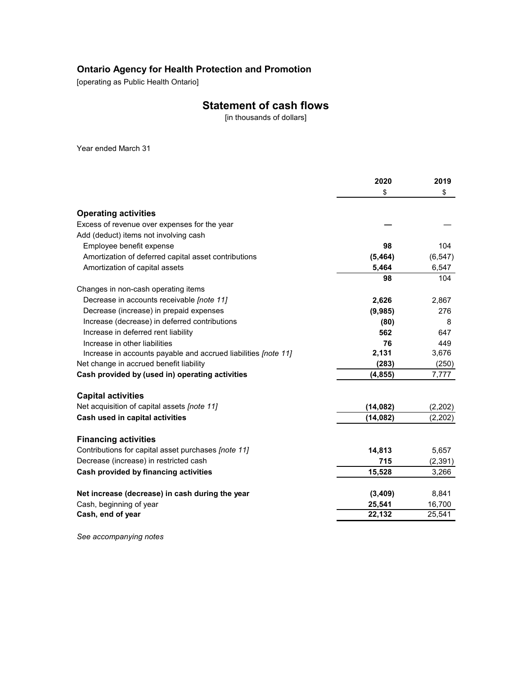[operating as Public Health Ontario]

# **Statement of cash flows**

[in thousands of dollars]

Year ended March 31

|                                                                | 2020      | 2019     |
|----------------------------------------------------------------|-----------|----------|
|                                                                | \$        | \$       |
| <b>Operating activities</b>                                    |           |          |
| Excess of revenue over expenses for the year                   |           |          |
| Add (deduct) items not involving cash                          |           |          |
| Employee benefit expense                                       | 98        | 104      |
| Amortization of deferred capital asset contributions           | (5, 464)  | (6, 547) |
| Amortization of capital assets                                 | 5,464     | 6,547    |
|                                                                | 98        | 104      |
| Changes in non-cash operating items                            |           |          |
| Decrease in accounts receivable [note 11]                      | 2,626     | 2,867    |
| Decrease (increase) in prepaid expenses                        | (9,985)   | 276      |
| Increase (decrease) in deferred contributions                  | (80)      | 8        |
| Increase in deferred rent liability                            | 562       | 647      |
| Increase in other liabilities                                  | 76        | 449      |
| Increase in accounts payable and accrued liabilities [note 11] | 2,131     | 3,676    |
| Net change in accrued benefit liability                        | (283)     | (250)    |
| Cash provided by (used in) operating activities                | (4, 855)  | 7,777    |
| <b>Capital activities</b>                                      |           |          |
| Net acquisition of capital assets [note 11]                    | (14, 082) | (2,202)  |
| Cash used in capital activities                                | (14, 082) | (2, 202) |
| <b>Financing activities</b>                                    |           |          |
| Contributions for capital asset purchases [note 11]            | 14,813    | 5,657    |
| Decrease (increase) in restricted cash                         | 715       | (2, 391) |
| Cash provided by financing activities                          | 15,528    | 3,266    |
| Net increase (decrease) in cash during the year                | (3,409)   | 8,841    |
| Cash, beginning of year                                        | 25,541    | 16,700   |
| Cash, end of year                                              | 22,132    | 25,541   |

*See accompanying notes*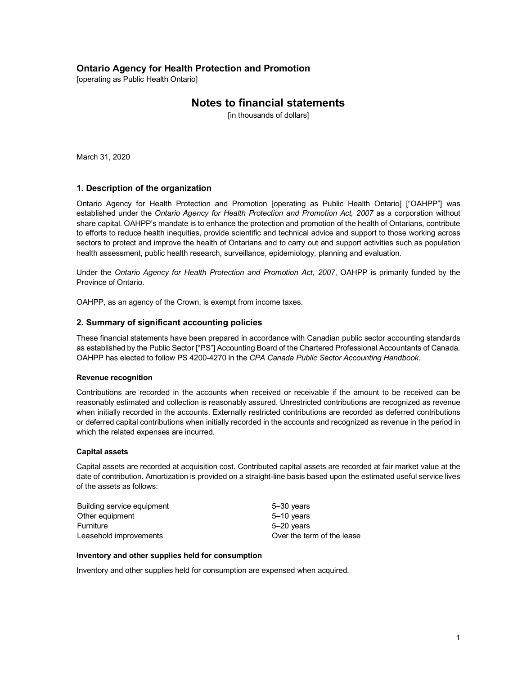[operating as Public Health Ontario]

# **Notes to financial statements**

[in thousands of dollars]

March 31, 2020

## **1. Description of the organization**

Ontario Agency for Health Protection and Promotion [operating as Public Health Ontario] ["OAHPP"] was established under the *Ontario Agency for Health Protection and Promotion Act, 2007* as a corporation without share capital. OAHPP's mandate is to enhance the protection and promotion of the health of Ontarians, contribute to efforts to reduce health inequities, provide scientific and technical advice and support to those working across sectors to protect and improve the health of Ontarians and to carry out and support activities such as population health assessment, public health research, surveillance, epidemiology, planning and evaluation.

Under the *Ontario Agency for Health Protection and Promotion Act, 2007*, OAHPP is primarily funded by the Province of Ontario.

OAHPP, as an agency of the Crown, is exempt from income taxes.

#### **2. Summary of significant accounting policies**

These financial statements have been prepared in accordance with Canadian public sector accounting standards as established by the Public Sector ["PS"] Accounting Board of the Chartered Professional Accountants of Canada. OAHPP has elected to follow PS 4200-4270 in the *CPA Canada Public Sector Accounting Handbook*.

#### **Revenue recognition**

Contributions are recorded in the accounts when received or receivable if the amount to be received can be reasonably estimated and collection is reasonably assured. Unrestricted contributions are recognized as revenue when initially recorded in the accounts. Externally restricted contributions are recorded as deferred contributions or deferred capital contributions when initially recorded in the accounts and recognized as revenue in the period in which the related expenses are incurred.

#### **Capital assets**

Capital assets are recorded at acquisition cost. Contributed capital assets are recorded at fair market value at the date of contribution. Amortization is provided on a straight-line basis based upon the estimated useful service lives of the assets as follows:

| Building service equipment | 5–30 years                 |
|----------------------------|----------------------------|
| Other equipment            | 5–10 years                 |
| Furniture                  | 5–20 years                 |
| Leasehold improvements     | Over the term of the lease |

#### **Inventory and other supplies held for consumption**

Inventory and other supplies held for consumption are expensed when acquired.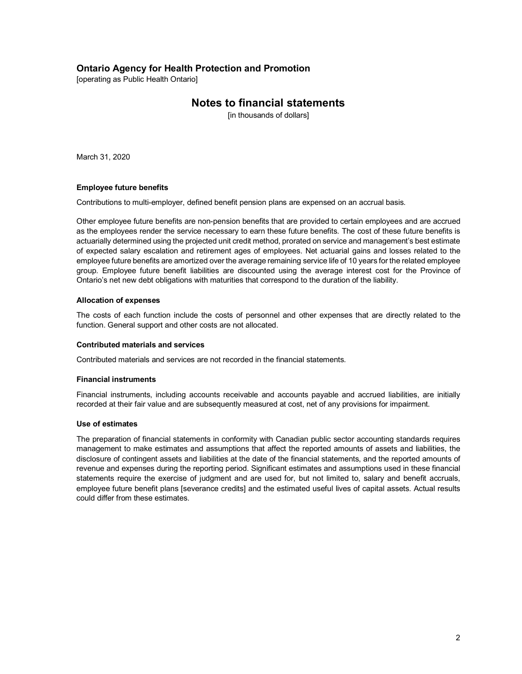[operating as Public Health Ontario]

# **Notes to financial statements**

[in thousands of dollars]

March 31, 2020

#### **Employee future benefits**

Contributions to multi-employer, defined benefit pension plans are expensed on an accrual basis.

Other employee future benefits are non-pension benefits that are provided to certain employees and are accrued as the employees render the service necessary to earn these future benefits. The cost of these future benefits is actuarially determined using the projected unit credit method, prorated on service and management's best estimate of expected salary escalation and retirement ages of employees. Net actuarial gains and losses related to the employee future benefits are amortized over the average remaining service life of 10 years for the related employee group. Employee future benefit liabilities are discounted using the average interest cost for the Province of Ontario's net new debt obligations with maturities that correspond to the duration of the liability.

#### **Allocation of expenses**

The costs of each function include the costs of personnel and other expenses that are directly related to the function. General support and other costs are not allocated.

#### **Contributed materials and services**

Contributed materials and services are not recorded in the financial statements.

#### **Financial instruments**

Financial instruments, including accounts receivable and accounts payable and accrued liabilities, are initially recorded at their fair value and are subsequently measured at cost, net of any provisions for impairment.

#### **Use of estimates**

The preparation of financial statements in conformity with Canadian public sector accounting standards requires management to make estimates and assumptions that affect the reported amounts of assets and liabilities, the disclosure of contingent assets and liabilities at the date of the financial statements, and the reported amounts of revenue and expenses during the reporting period. Significant estimates and assumptions used in these financial statements require the exercise of judgment and are used for, but not limited to, salary and benefit accruals, employee future benefit plans [severance credits] and the estimated useful lives of capital assets. Actual results could differ from these estimates.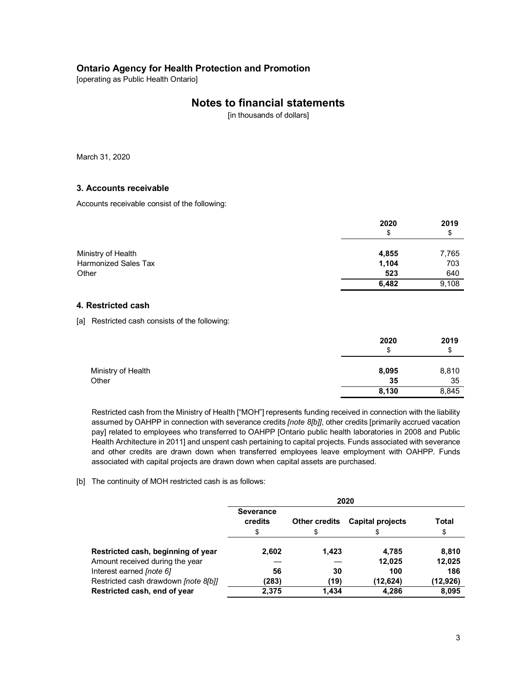[operating as Public Health Ontario]

## **Notes to financial statements**

[in thousands of dollars]

March 31, 2020

## **3. Accounts receivable**

Accounts receivable consist of the following:

|                             | 2020  | 2019  |
|-----------------------------|-------|-------|
|                             | \$    | \$    |
|                             |       |       |
| Ministry of Health          | 4,855 | 7,765 |
| <b>Harmonized Sales Tax</b> | 1,104 | 703   |
| Other                       | 523   | 640   |
|                             | 6,482 | 9,108 |

#### **4. Restricted cash**

#### [a] Restricted cash consists of the following:

|                    | 2020<br>\$ | 2019<br>\$ |
|--------------------|------------|------------|
| Ministry of Health | 8,095      | 8,810      |
| Other              | 35         | 35         |
|                    | 8,130      | 8,845      |

Restricted cash from the Ministry of Health ["MOH"] represents funding received in connection with the liability assumed by OAHPP in connection with severance credits *[note 8[b]]*, other credits [primarily accrued vacation pay] related to employees who transferred to OAHPP [Ontario public health laboratories in 2008 and Public Health Architecture in 2011] and unspent cash pertaining to capital projects. Funds associated with severance and other credits are drawn down when transferred employees leave employment with OAHPP. Funds associated with capital projects are drawn down when capital assets are purchased.

[b] The continuity of MOH restricted cash is as follows:

|                                      | 2020                              |                            |                         |             |
|--------------------------------------|-----------------------------------|----------------------------|-------------------------|-------------|
|                                      | <b>Severance</b><br>credits<br>\$ | <b>Other credits</b><br>\$ | <b>Capital projects</b> | Total<br>\$ |
| Restricted cash, beginning of year   | 2,602                             | 1,423                      | 4,785                   | 8,810       |
| Amount received during the year      |                                   |                            | 12,025                  | 12,025      |
| Interest earned <i>[note 6]</i>      | 56                                | 30                         | 100                     | 186         |
| Restricted cash drawdown [note 8[b]] | (283)                             | (19)                       | (12,624)                | (12,926)    |
| Restricted cash, end of year         | 2,375                             | 1,434                      | 4,286                   | 8,095       |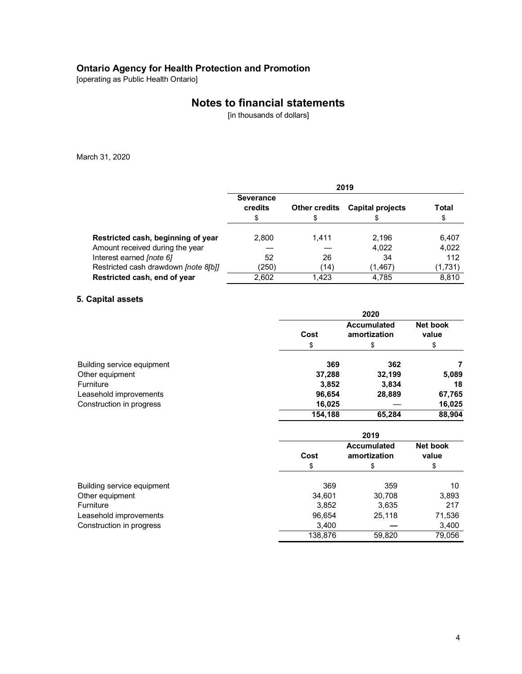[operating as Public Health Ontario]

# **Notes to financial statements**

[in thousands of dollars]

March 31, 2020

|                                      | 2019                        |                      |                         |         |
|--------------------------------------|-----------------------------|----------------------|-------------------------|---------|
|                                      | <b>Severance</b><br>credits | <b>Other credits</b> | <b>Capital projects</b> | Total   |
|                                      | \$                          | S                    |                         | \$      |
| Restricted cash, beginning of year   | 2,800                       | 1.411                | 2,196                   | 6,407   |
| Amount received during the year      |                             |                      | 4,022                   | 4,022   |
| Interest earned <i>[note 6]</i>      | 52                          | 26                   | 34                      | 112     |
| Restricted cash drawdown [note 8[b]] | (250)                       | (14)                 | (1,467)                 | (1,731) |
| Restricted cash, end of year         | 2,602                       | 1.423                | 4.785                   | 8.810   |

## **5. Capital assets**

|                            |         | 2020                               |                   |
|----------------------------|---------|------------------------------------|-------------------|
|                            | Cost    | <b>Accumulated</b><br>amortization | Net book<br>value |
|                            | \$      | \$                                 | \$                |
| Building service equipment | 369     | 362                                |                   |
| Other equipment            | 37,288  | 32,199                             | 5,089             |
| Furniture                  | 3,852   | 3,834                              | 18                |
| Leasehold improvements     | 96,654  | 28,889                             | 67,765            |
| Construction in progress   | 16,025  |                                    | 16,025            |
|                            | 154,188 | 65,284                             | 88,904            |

|                            |         | 2019                               |                   |
|----------------------------|---------|------------------------------------|-------------------|
|                            | Cost    | <b>Accumulated</b><br>amortization | Net book<br>value |
|                            | \$      | \$                                 | \$                |
| Building service equipment | 369     | 359                                | 10                |
| Other equipment            | 34,601  | 30,708                             | 3,893             |
| Furniture                  | 3,852   | 3,635                              | 217               |
| Leasehold improvements     | 96,654  | 25,118                             | 71,536            |
| Construction in progress   | 3,400   |                                    | 3,400             |
|                            | 138,876 | 59,820                             | 79.056            |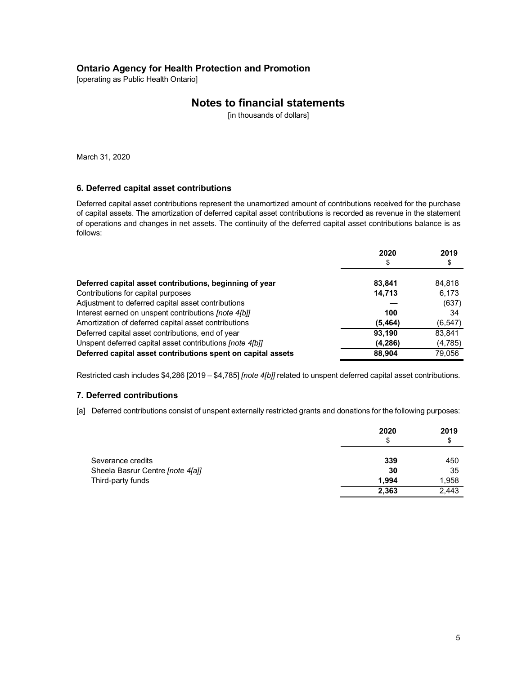[operating as Public Health Ontario]

# **Notes to financial statements**

[in thousands of dollars]

March 31, 2020

## **6. Deferred capital asset contributions**

Deferred capital asset contributions represent the unamortized amount of contributions received for the purchase of capital assets. The amortization of deferred capital asset contributions is recorded as revenue in the statement of operations and changes in net assets. The continuity of the deferred capital asset contributions balance is as follows:

|                                                              | 2020     | 2019     |
|--------------------------------------------------------------|----------|----------|
|                                                              | \$       | \$       |
| Deferred capital asset contributions, beginning of year      | 83,841   | 84,818   |
| Contributions for capital purposes                           | 14,713   | 6,173    |
| Adjustment to deferred capital asset contributions           |          | (637)    |
| Interest earned on unspent contributions [note 4[b]]         | 100      | 34       |
| Amortization of deferred capital asset contributions         | (5, 464) | (6, 547) |
| Deferred capital asset contributions, end of year            | 93,190   | 83,841   |
| Unspent deferred capital asset contributions [note 4[b]]     | (4, 286) | (4,785)  |
| Deferred capital asset contributions spent on capital assets | 88.904   | 79,056   |

Restricted cash includes \$4,286 [2019 – \$4,785] *[note 4[b]]* related to unspent deferred capital asset contributions.

## **7. Deferred contributions**

[a] Deferred contributions consist of unspent externally restricted grants and donations for the following purposes:

|                                  | 2020<br>S | 2019<br>\$ |
|----------------------------------|-----------|------------|
| Severance credits                | 339       | 450        |
| Sheela Basrur Centre [note 4[a]] | 30        | 35         |
| Third-party funds                | 1.994     | 1,958      |
|                                  | 2,363     | 2.443      |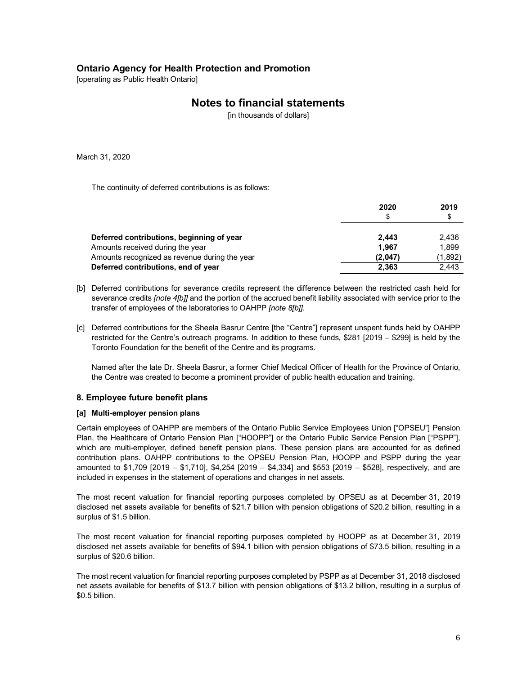[operating as Public Health Ontario]

# **Notes to financial statements**

[in thousands of dollars]

March 31, 2020

The continuity of deferred contributions is as follows:

|                                               | 2020<br>\$ | 2019<br>S |
|-----------------------------------------------|------------|-----------|
| Deferred contributions, beginning of year     | 2.443      | 2.436     |
| Amounts received during the year              | 1.967      | 1.899     |
| Amounts recognized as revenue during the year | (2,047)    | (1,892)   |
| Deferred contributions, end of year           | 2.363      | 2.443     |

- [b] Deferred contributions for severance credits represent the difference between the restricted cash held for severance credits *[note 4[b]]* and the portion of the accrued benefit liability associated with service prior to the transfer of employees of the laboratories to OAHPP *[note 8[b]]*.
- [c] Deferred contributions for the Sheela Basrur Centre [the "Centre"] represent unspent funds held by OAHPP restricted for the Centre's outreach programs. In addition to these funds, \$281 [2019 – \$299] is held by the Toronto Foundation for the benefit of the Centre and its programs.

Named after the late Dr. Sheela Basrur, a former Chief Medical Officer of Health for the Province of Ontario, the Centre was created to become a prominent provider of public health education and training.

#### **8. Employee future benefit plans**

#### **[a] Multi-employer pension plans**

Certain employees of OAHPP are members of the Ontario Public Service Employees Union ["OPSEU"] Pension Plan, the Healthcare of Ontario Pension Plan ["HOOPP"] or the Ontario Public Service Pension Plan ["PSPP"], which are multi-employer, defined benefit pension plans. These pension plans are accounted for as defined contribution plans. OAHPP contributions to the OPSEU Pension Plan, HOOPP and PSPP during the year amounted to \$1,709 [2019 – \$1,710], \$4,254 [2019 – \$4,334] and \$553 [2019 – \$528], respectively, and are included in expenses in the statement of operations and changes in net assets.

The most recent valuation for financial reporting purposes completed by OPSEU as at December 31, 2019 disclosed net assets available for benefits of \$21.7 billion with pension obligations of \$20.2 billion, resulting in a surplus of \$1.5 billion.

The most recent valuation for financial reporting purposes completed by HOOPP as at December 31, 2019 disclosed net assets available for benefits of \$94.1 billion with pension obligations of \$73.5 billion, resulting in a surplus of \$20.6 billion.

The most recent valuation for financial reporting purposes completed by PSPP as at December 31, 2018 disclosed net assets available for benefits of \$13.7 billion with pension obligations of \$13.2 billion, resulting in a surplus of \$0.5 billion.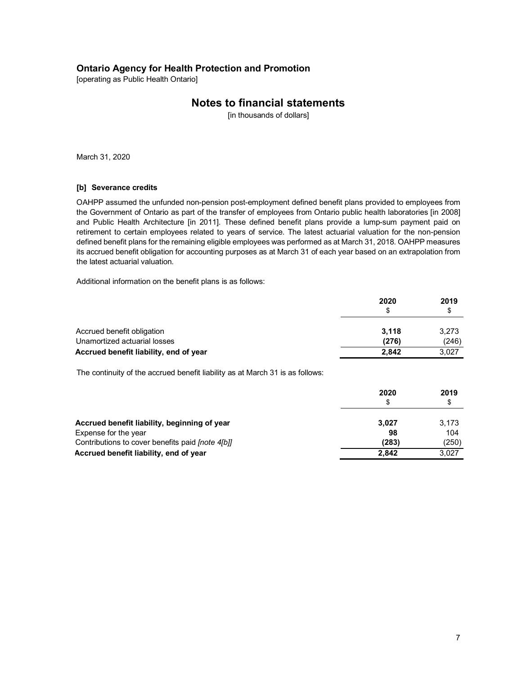[operating as Public Health Ontario]

# **Notes to financial statements**

[in thousands of dollars]

March 31, 2020

#### **[b] Severance credits**

OAHPP assumed the unfunded non-pension post-employment defined benefit plans provided to employees from the Government of Ontario as part of the transfer of employees from Ontario public health laboratories [in 2008] and Public Health Architecture [in 2011]. These defined benefit plans provide a lump-sum payment paid on retirement to certain employees related to years of service. The latest actuarial valuation for the non-pension defined benefit plans for the remaining eligible employees was performed as at March 31, 2018. OAHPP measures its accrued benefit obligation for accounting purposes as at March 31 of each year based on an extrapolation from the latest actuarial valuation.

Additional information on the benefit plans is as follows:

|                                        | 2020<br>S | 2019<br>S |
|----------------------------------------|-----------|-----------|
| Accrued benefit obligation             | 3.118     | 3,273     |
| Unamortized actuarial losses           | (276)     | (246)     |
| Accrued benefit liability, end of year | 2.842     | 3.027     |

The continuity of the accrued benefit liability as at March 31 is as follows:

|                                                         | 2020<br>S | 2019<br>\$ |
|---------------------------------------------------------|-----------|------------|
| Accrued benefit liability, beginning of year            | 3,027     | 3,173      |
| Expense for the year                                    | 98        | 104        |
| Contributions to cover benefits paid <i>[note 4[b]]</i> | (283)     | (250)      |
| Accrued benefit liability, end of year                  | 2.842     | 3.027      |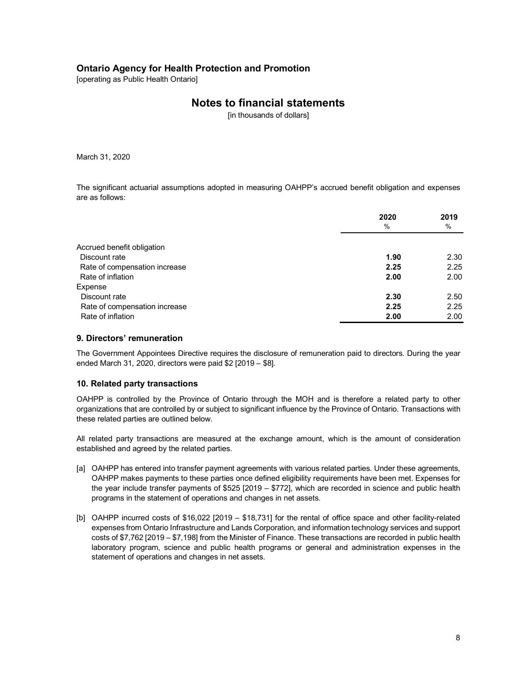[operating as Public Health Ontario]

# **Notes to financial statements**

[in thousands of dollars]

March 31, 2020

The significant actuarial assumptions adopted in measuring OAHPP's accrued benefit obligation and expenses are as follows:

|                               | 2020<br>$\%$ | 2019<br>$\%$ |
|-------------------------------|--------------|--------------|
| Accrued benefit obligation    |              |              |
| Discount rate                 | 1.90         | 2.30         |
| Rate of compensation increase | 2.25         | 2.25         |
| Rate of inflation             | 2.00         | 2.00         |
| Expense                       |              |              |
| Discount rate                 | 2.30         | 2.50         |
| Rate of compensation increase | 2.25         | 2.25         |
| Rate of inflation             | 2.00         | 2.00         |

#### **9. Directors' remuneration**

The Government Appointees Directive requires the disclosure of remuneration paid to directors. During the year ended March 31, 2020, directors were paid \$2 [2019 – \$8].

#### **10. Related party transactions**

OAHPP is controlled by the Province of Ontario through the MOH and is therefore a related party to other organizations that are controlled by or subject to significant influence by the Province of Ontario. Transactions with these related parties are outlined below.

All related party transactions are measured at the exchange amount, which is the amount of consideration established and agreed by the related parties.

- [a] OAHPP has entered into transfer payment agreements with various related parties. Under these agreements, OAHPP makes payments to these parties once defined eligibility requirements have been met. Expenses for the year include transfer payments of \$525 [2019 – \$772], which are recorded in science and public health programs in the statement of operations and changes in net assets.
- [b] OAHPP incurred costs of \$16,022 [2019 \$18,731] for the rental of office space and other facility-related expenses from Ontario Infrastructure and Lands Corporation, and information technology services and support costs of \$7,762 [2019 – \$7,198] from the Minister of Finance. These transactions are recorded in public health laboratory program, science and public health programs or general and administration expenses in the statement of operations and changes in net assets.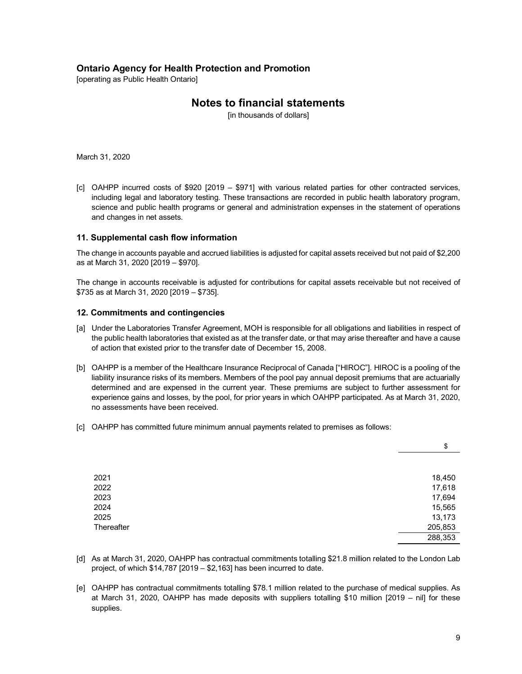[operating as Public Health Ontario]

## **Notes to financial statements**

[in thousands of dollars]

March 31, 2020

[c] OAHPP incurred costs of \$920 [2019 – \$971] with various related parties for other contracted services, including legal and laboratory testing. These transactions are recorded in public health laboratory program, science and public health programs or general and administration expenses in the statement of operations and changes in net assets.

#### **11. Supplemental cash flow information**

The change in accounts payable and accrued liabilities is adjusted for capital assets received but not paid of \$2,200 as at March 31, 2020 [2019 – \$970].

The change in accounts receivable is adjusted for contributions for capital assets receivable but not received of \$735 as at March 31, 2020 [2019 – \$735].

#### **12. Commitments and contingencies**

- [a] Under the Laboratories Transfer Agreement, MOH is responsible for all obligations and liabilities in respect of the public health laboratories that existed as at the transfer date, or that may arise thereafter and have a cause of action that existed prior to the transfer date of December 15, 2008.
- [b] OAHPP is a member of the Healthcare Insurance Reciprocal of Canada ["HIROC"]. HIROC is a pooling of the liability insurance risks of its members. Members of the pool pay annual deposit premiums that are actuarially determined and are expensed in the current year. These premiums are subject to further assessment for experience gains and losses, by the pool, for prior years in which OAHPP participated. As at March 31, 2020, no assessments have been received.
- [c] OAHPP has committed future minimum annual payments related to premises as follows:

|            | \$      |
|------------|---------|
|            |         |
| 2021       | 18,450  |
| 2022       | 17,618  |
| 2023       | 17,694  |
| 2024       | 15,565  |
| 2025       | 13,173  |
| Thereafter | 205,853 |
|            | 288,353 |

- [d] As at March 31, 2020, OAHPP has contractual commitments totalling \$21.8 million related to the London Lab project, of which \$14,787 [2019 – \$2,163] has been incurred to date.
- [e] OAHPP has contractual commitments totalling \$78.1 million related to the purchase of medical supplies. As at March 31, 2020, OAHPP has made deposits with suppliers totalling \$10 million [2019 – nil] for these supplies.